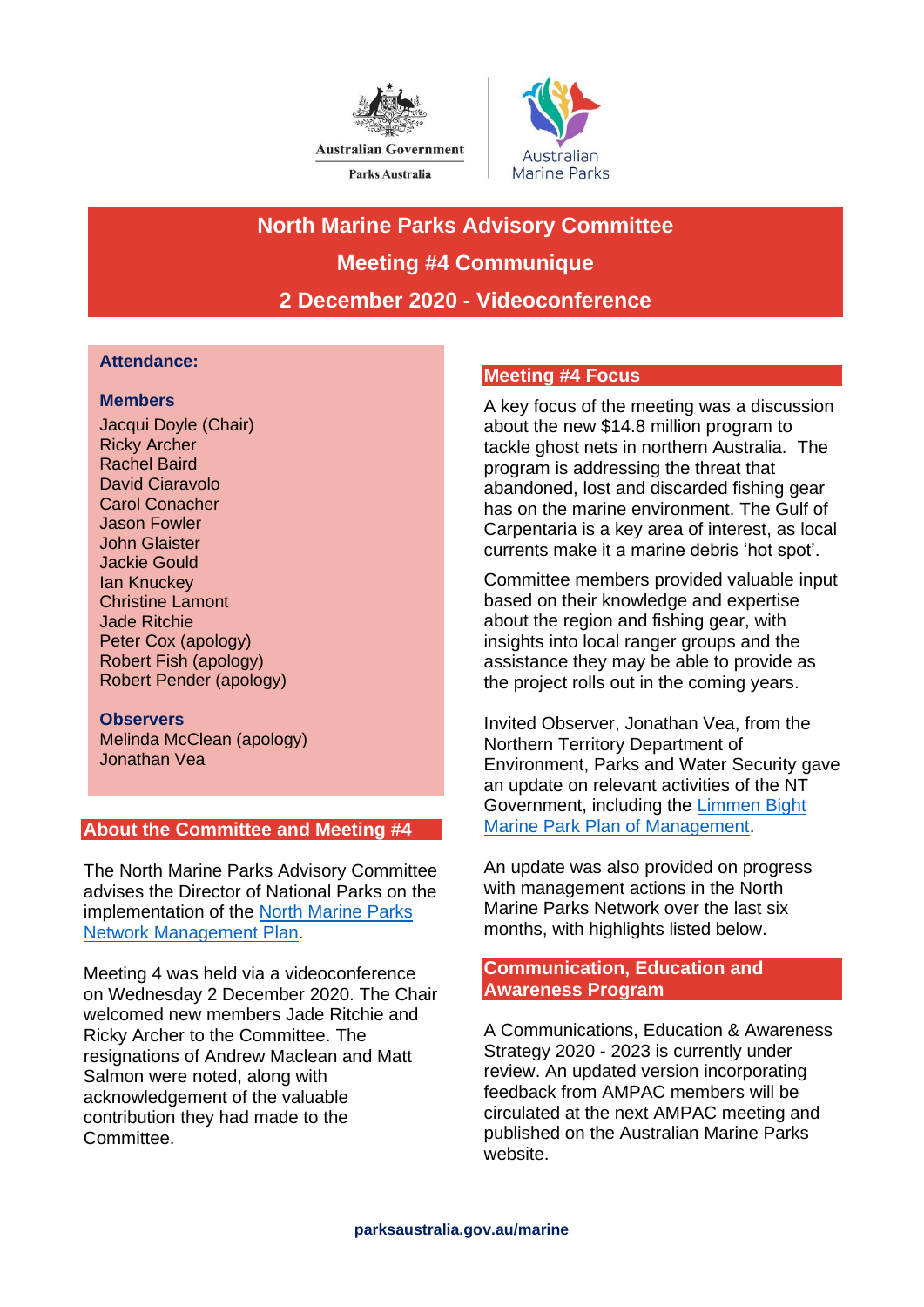



# **North Marine Parks Advisory Committee Meeting #4 Communique 2 December 2020 - Videoconference**

## **Attendance:**

## **Members**

Jacqui Doyle (Chair) Ricky Archer Rachel Baird David Ciaravolo Carol Conacher Jason Fowler John Glaister Jackie Gould Ian Knuckey Christine Lamont Jade Ritchie Peter Cox (apology) Robert Fish (apology) Robert Pender (apology)

## **Observers**

Melinda McClean (apology) Jonathan Vea

# **About the Committee and Meeting #4**

The North Marine Parks Advisory Committee advises the Director of National Parks on the implementation of the [North Marine Parks](https://parksaustralia.gov.au/marine/parks/north/plans/)  [Network Management Plan.](https://parksaustralia.gov.au/marine/parks/north/plans/)

Meeting 4 was held via a videoconference on Wednesday 2 December 2020. The Chair welcomed new members Jade Ritchie and Ricky Archer to the Committee. The resignations of Andrew Maclean and Matt Salmon were noted, along with acknowledgement of the valuable contribution they had made to the Committee.

# **Meeting #4 Focus**

A key focus of the meeting was a discussion about the new \$14.8 million program to tackle ghost nets in northern Australia. The program is addressing the threat that abandoned, lost and discarded fishing gear has on the marine environment. The Gulf of Carpentaria is a key area of interest, as local currents make it a marine debris 'hot spot'.

Committee members provided valuable input based on their knowledge and expertise about the region and fishing gear, with insights into local ranger groups and the assistance they may be able to provide as the project rolls out in the coming years.

Invited Observer, Jonathan Vea, from the Northern Territory Department of Environment, Parks and Water Security gave an update on relevant activities of the NT Government, including the [Limmen Bight](https://denr.nt.gov.au/__data/assets/pdf_file/0008/808514/limmen-bight-marine-park-plan-of-management.pdf)  [Marine Park Plan of Management.](https://denr.nt.gov.au/__data/assets/pdf_file/0008/808514/limmen-bight-marine-park-plan-of-management.pdf)

An update was also provided on progress with management actions in the North Marine Parks Network over the last six months, with highlights listed below.

# **Communication, Education and Awareness Program**

A Communications, Education & Awareness Strategy 2020 - 2023 is currently under review. An updated version incorporating feedback from AMPAC members will be circulated at the next AMPAC meeting and published on the Australian Marine Parks website.